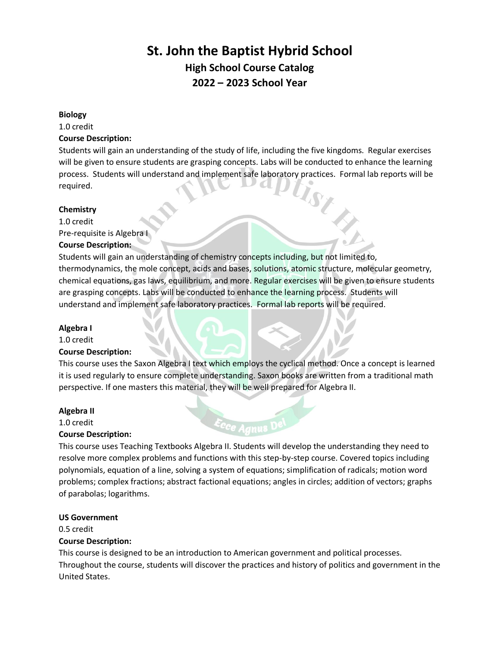# **St. John the Baptist Hybrid School High School Course Catalog 2022 – 2023 School Year**

#### **Biology**

1.0 credit

# **Course Description:**

Students will gain an understanding of the study of life, including the five kingdoms. Regular exercises will be given to ensure students are grasping concepts. Labs will be conducted to enhance the learning process. Students will understand and implement safe laboratory practices. Formal lab reports will be required.

## **Chemistry**

1.0 credit Pre-requisite is Algebra I

## **Course Description:**

Students will gain an understanding of chemistry concepts including, but not limited to, thermodynamics, the mole concept, acids and bases, solutions, atomic structure, molecular geometry, chemical equations, gas laws, equilibrium, and more. Regular exercises will be given to ensure students are grasping concepts. Labs will be conducted to enhance the learning process. Students will understand and implement safe laboratory practices. Formal lab reports will be required.

## **Algebra I**

1.0 credit

## **Course Description:**

This course uses the Saxon Algebra I text which employs the cyclical method. Once a concept is learned it is used regularly to ensure complete understanding. Saxon books are written from a traditional math perspective. If one masters this material, they will be well prepared for Algebra II.

## **Algebra II**

1.0 credit **Course Description:** 

This course uses Teaching Textbooks Algebra II. Students will develop the understanding they need to resolve more complex problems and functions with this step-by-step course. Covered topics including polynomials, equation of a line, solving a system of equations; simplification of radicals; motion word problems; complex fractions; abstract factional equations; angles in circles; addition of vectors; graphs of parabolas; logarithms.

## **US Government**

0.5 credit

# **Course Description:**

This course is designed to be an introduction to American government and political processes. Throughout the course, students will discover the practices and history of politics and government in the United States.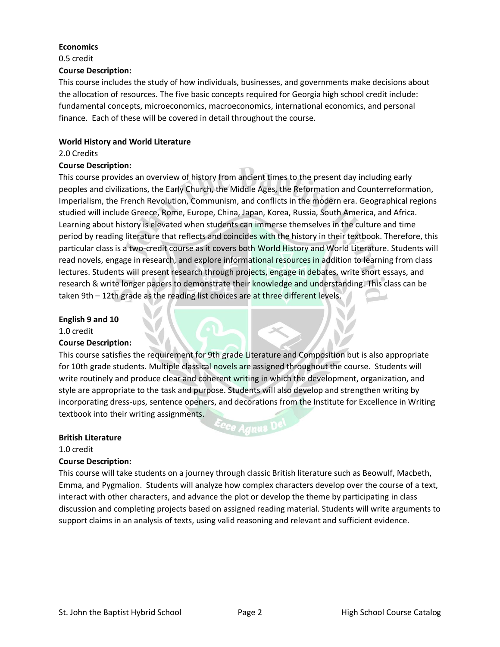## **Economics**

0.5 credit

#### **Course Description:**

This course includes the study of how individuals, businesses, and governments make decisions about the allocation of resources. The five basic concepts required for Georgia high school credit include: fundamental concepts, microeconomics, macroeconomics, international economics, and personal finance. Each of these will be covered in detail throughout the course.

## **World History and World Literature**

#### 2.0 Credits

## **Course Description:**

This course provides an overview of history from ancient times to the present day including early peoples and civilizations, the Early Church, the Middle Ages, the Reformation and Counterreformation, Imperialism, the French Revolution, Communism, and conflicts in the modern era. Geographical regions studied will include Greece, Rome, Europe, China, Japan, Korea, Russia, South America, and Africa. Learning about history is elevated when students can immerse themselves in the culture and time period by reading literature that reflects and coincides with the history in their textbook. Therefore, this particular class is a two-credit course as it covers both World History and World Literature. Students will read novels, engage in research, and explore informational resources in addition to learning from class lectures. Students will present research through projects, engage in debates, write short essays, and research & write longer papers to demonstrate their knowledge and understanding. This class can be taken 9th – 12th grade as the reading list choices are at three different levels.

#### **English 9 and 10**

1.0 credit

## **Course Description:**

This course satisfies the requirement for 9th grade Literature and Composition but is also appropriate for 10th grade students. Multiple classical novels are assigned throughout the course. Students will write routinely and produce clear and coherent writing in which the development, organization, and style are appropriate to the task and purpose. Students will also develop and strengthen writing by incorporating dress-ups, sentence openers, and decorations from the Institute for Excellence in Writing textbook into their writing assignments.

<sup>c</sup>ce Agnus <sup>D</sup>

#### **British Literature**

1.0 credit

## **Course Description:**

This course will take students on a journey through classic British literature such as Beowulf, Macbeth, Emma, and Pygmalion. Students will analyze how complex characters develop over the course of a text, interact with other characters, and advance the plot or develop the theme by participating in class discussion and completing projects based on assigned reading material. Students will write arguments to support claims in an analysis of texts, using valid reasoning and relevant and sufficient evidence.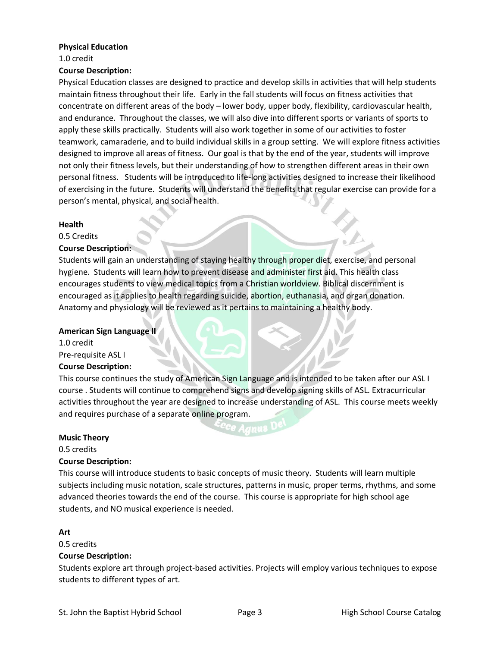#### **Physical Education**

1.0 credit

## **Course Description:**

Physical Education classes are designed to practice and develop skills in activities that will help students maintain fitness throughout their life. Early in the fall students will focus on fitness activities that concentrate on different areas of the body – lower body, upper body, flexibility, cardiovascular health, and endurance. Throughout the classes, we will also dive into different sports or variants of sports to apply these skills practically. Students will also work together in some of our activities to foster teamwork, camaraderie, and to build individual skills in a group setting. We will explore fitness activities designed to improve all areas of fitness. Our goal is that by the end of the year, students will improve not only their fitness levels, but their understanding of how to strengthen different areas in their own personal fitness. Students will be introduced to life-long activities designed to increase their likelihood of exercising in the future. Students will understand the benefits that regular exercise can provide for a person's mental, physical, and social health.

#### **Health**

0.5 Credits

## **Course Description:**

Students will gain an understanding of staying healthy through proper diet, exercise, and personal hygiene. Students will learn how to prevent disease and administer first aid. This health class encourages students to view medical topics from a Christian worldview. Biblical discernment is encouraged as it applies to health regarding suicide, abortion, euthanasia, and organ donation. Anatomy and physiology will be reviewed as it pertains to maintaining a healthy body.

#### **American Sign Language II**

1.0 credit Pre-requisite ASL I **Course Description:**

This course continues the study of American Sign Language and is intended to be taken after our ASL I course . Students will continue to comprehend signs and develop signing skills of ASL. Extracurricular activities throughout the year are designed to increase understanding of ASL. This course meets weekly and requires purchase of a separate online program.

## **Music Theory**

0.5 credits

## **Course Description:**

This course will introduce students to basic concepts of music theory. Students will learn multiple subjects including music notation, scale structures, patterns in music, proper terms, rhythms, and some advanced theories towards the end of the course. This course is appropriate for high school age students, and NO musical experience is needed.

## **Art**

0.5 credits

## **Course Description:**

Students explore art through project-based activities. Projects will employ various techniques to expose students to different types of art.